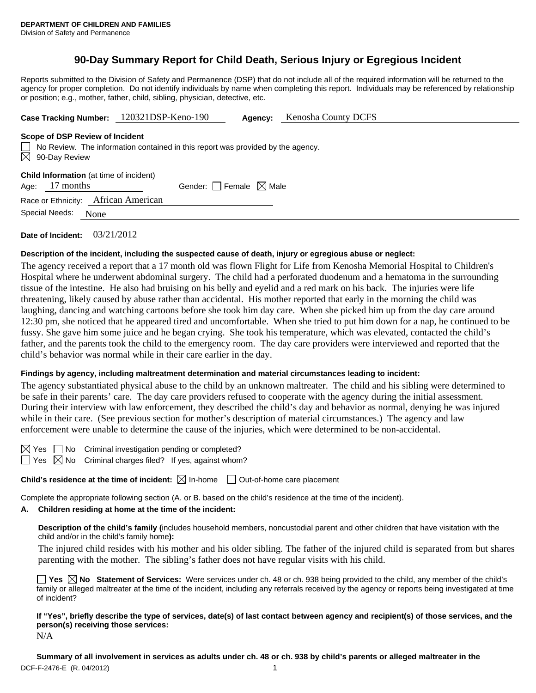# **90-Day Summary Report for Child Death, Serious Injury or Egregious Incident**

Reports submitted to the Division of Safety and Permanence (DSP) that do not include all of the required information will be returned to the agency for proper completion. Do not identify individuals by name when completing this report. Individuals may be referenced by relationship or position; e.g., mother, father, child, sibling, physician, detective, etc.

| Case Tracking Number: 120321DSP-Keno-190 | <b>Agency:</b> Kenosha County DCFS |
|------------------------------------------|------------------------------------|
|                                          |                                    |

#### **Scope of DSP Review of Incident**

No Review. The information contained in this report was provided by the agency.  $\boxtimes$ 90-Day Review

**Child Information** (at time of incident)

Age:  $17$  months Gender: Female  $\boxtimes$  Male

Race or Ethnicity: African American

Special Needs: None

**Date of Incident:** 03/21/2012

### **Description of the incident, including the suspected cause of death, injury or egregious abuse or neglect:**

The agency received a report that a 17 month old was flown Flight for Life from Kenosha Memorial Hospital to Children's Hospital where he underwent abdominal surgery. The child had a perforated duodenum and a hematoma in the surrounding tissue of the intestine. He also had bruising on his belly and eyelid and a red mark on his back. The injuries were life threatening, likely caused by abuse rather than accidental. His mother reported that early in the morning the child was laughing, dancing and watching cartoons before she took him day care. When she picked him up from the day care around 12:30 pm, she noticed that he appeared tired and uncomfortable. When she tried to put him down for a nap, he continued to be fussy. She gave him some juice and he began crying. She took his temperature, which was elevated, contacted the child's father, and the parents took the child to the emergency room. The day care providers were interviewed and reported that the child's behavior was normal while in their care earlier in the day.

### **Findings by agency, including maltreatment determination and material circumstances leading to incident:**

The agency substantiated physical abuse to the child by an unknown maltreater. The child and his sibling were determined to be safe in their parents' care. The day care providers refused to cooperate with the agency during the initial assessment. During their interview with law enforcement, they described the child's day and behavior as normal, denying he was injured while in their care. (See previous section for mother's description of material circumstances.) The agency and law enforcement were unable to determine the cause of the injuries, which were determined to be non-accidental.

 $\boxtimes$  Yes  $\Box$  No Criminal investigation pending or completed?

 $\Box$  Yes  $\boxtimes$  No Criminal charges filed? If yes, against whom?

**Child's residence at the time of incident:**  $\boxtimes$  In-home  $\Box$  Out-of-home care placement

Complete the appropriate following section (A. or B. based on the child's residence at the time of the incident).

## **A. Children residing at home at the time of the incident:**

**Description of the child's family (**includes household members, noncustodial parent and other children that have visitation with the child and/or in the child's family home**):** 

The injured child resides with his mother and his older sibling. The father of the injured child is separated from but shares parenting with the mother. The sibling's father does not have regular visits with his child.

**Yes No Statement of Services:** Were services under ch. 48 or ch. 938 being provided to the child, any member of the child's family or alleged maltreater at the time of the incident, including any referrals received by the agency or reports being investigated at time of incident?

**If "Yes", briefly describe the type of services, date(s) of last contact between agency and recipient(s) of those services, and the person(s) receiving those services:**  N/A

DCF-F-2476-E (R. 04/2012) 1 **Summary of all involvement in services as adults under ch. 48 or ch. 938 by child's parents or alleged maltreater in the**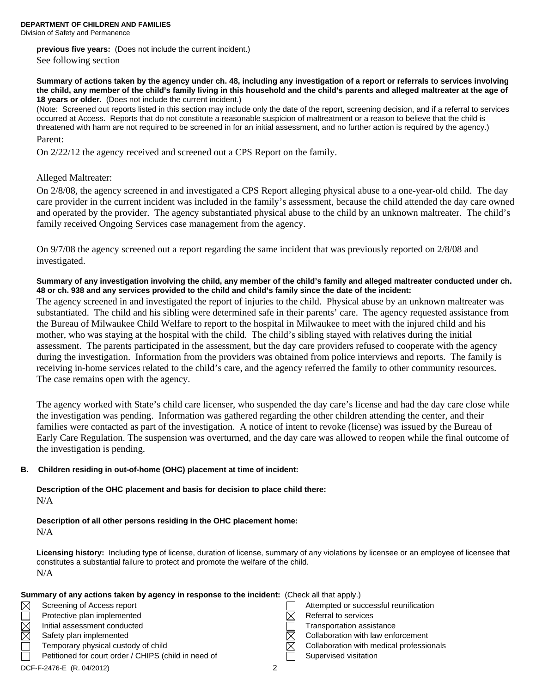**DEPARTMENT OF CHILDREN AND FAMILIES** 

Division of Safety and Permanence

**previous five years:** (Does not include the current incident.)

See following section

**Summary of actions taken by the agency under ch. 48, including any investigation of a report or referrals to services involving the child, any member of the child's family living in this household and the child's parents and alleged maltreater at the age of 18 years or older.** (Does not include the current incident.)

(Note: Screened out reports listed in this section may include only the date of the report, screening decision, and if a referral to services occurred at Access. Reports that do not constitute a reasonable suspicion of maltreatment or a reason to believe that the child is threatened with harm are not required to be screened in for an initial assessment, and no further action is required by the agency.) Parent:

On 2/22/12 the agency received and screened out a CPS Report on the family.

### Alleged Maltreater:

On 2/8/08, the agency screened in and investigated a CPS Report alleging physical abuse to a one-year-old child. The day care provider in the current incident was included in the family's assessment, because the child attended the day care owned and operated by the provider. The agency substantiated physical abuse to the child by an unknown maltreater. The child's family received Ongoing Services case management from the agency.

On 9/7/08 the agency screened out a report regarding the same incident that was previously reported on 2/8/08 and investigated.

**Summary of any investigation involving the child, any member of the child's family and alleged maltreater conducted under ch. 48 or ch. 938 and any services provided to the child and child's family since the date of the incident:** 

The agency screened in and investigated the report of injuries to the child. Physical abuse by an unknown maltreater was substantiated. The child and his sibling were determined safe in their parents' care. The agency requested assistance from the Bureau of Milwaukee Child Welfare to report to the hospital in Milwaukee to meet with the injured child and his mother, who was staying at the hospital with the child. The child's sibling stayed with relatives during the initial assessment. The parents participated in the assessment, but the day care providers refused to cooperate with the agency during the investigation. Information from the providers was obtained from police interviews and reports. The family is receiving in-home services related to the child's care, and the agency referred the family to other community resources. The case remains open with the agency.

The agency worked with State's child care licenser, who suspended the day care's license and had the day care close while the investigation was pending. Information was gathered regarding the other children attending the center, and their families were contacted as part of the investigation. A notice of intent to revoke (license) was issued by the Bureau of Early Care Regulation. The suspension was overturned, and the day care was allowed to reopen while the final outcome of the investigation is pending.

#### **B. Children residing in out-of-home (OHC) placement at time of incident:**

**Description of the OHC placement and basis for decision to place child there:**  N/A

**Description of all other persons residing in the OHC placement home:** 

N/A

**Licensing history:** Including type of license, duration of license, summary of any violations by licensee or an employee of licensee that constitutes a substantial failure to protect and promote the welfare of the child. N/A

|             | Summary of any actions taken by agency in response to the incident: (Check all that apply.) |   |           |                                          |  |  |
|-------------|---------------------------------------------------------------------------------------------|---|-----------|------------------------------------------|--|--|
| $\boxtimes$ | Screening of Access report                                                                  |   |           | Attempted or successful reunification    |  |  |
|             | Protective plan implemented                                                                 |   |           | Referral to services                     |  |  |
| MMOI        | Initial assessment conducted                                                                |   |           | Transportation assistance                |  |  |
|             | Safety plan implemented                                                                     |   | $\bowtie$ | Collaboration with law enforcement       |  |  |
|             | Temporary physical custody of child                                                         |   | M         | Collaboration with medical professionals |  |  |
|             | Petitioned for court order / CHIPS (child in need of                                        |   |           | Supervised visitation                    |  |  |
|             | $D$ $D$ $E$ $D$ $E$ $A$ $E$ $F$ $D$ $A$ $A$ $A$ $D$ $A$ $A$                                 | ົ |           |                                          |  |  |

DCF-F-2476-E (R. 04/2012) 2